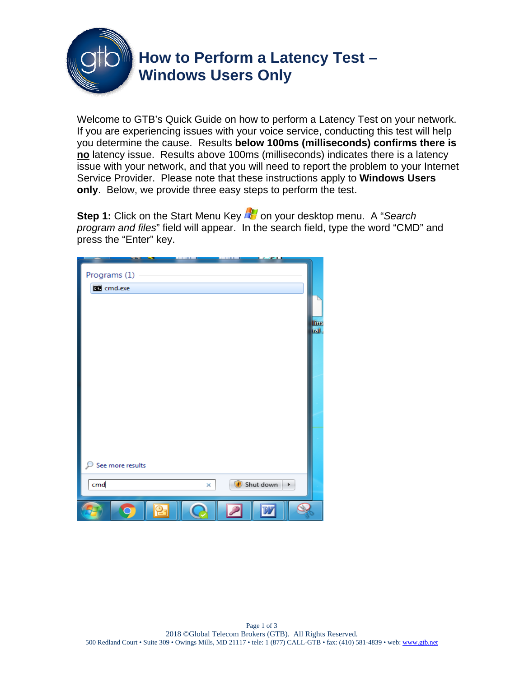

Welcome to GTB's Quick Guide on how to perform a Latency Test on your network. If you are experiencing issues with your voice service, conducting this test will help you determine the cause. Results **below 100ms (milliseconds) confirms there is no** latency issue. Results above 100ms (milliseconds) indicates there is a latency issue with your network, and that you will need to report the problem to your Internet Service Provider. Please note that these instructions apply to **Windows Users only**. Below, we provide three easy steps to perform the test.

**Step 1:** Click on the Start Menu Key **DV** on your desktop menu. A "Search *program and files*" field will appear. In the search field, type the word "CMD" and press the "Enter" key.

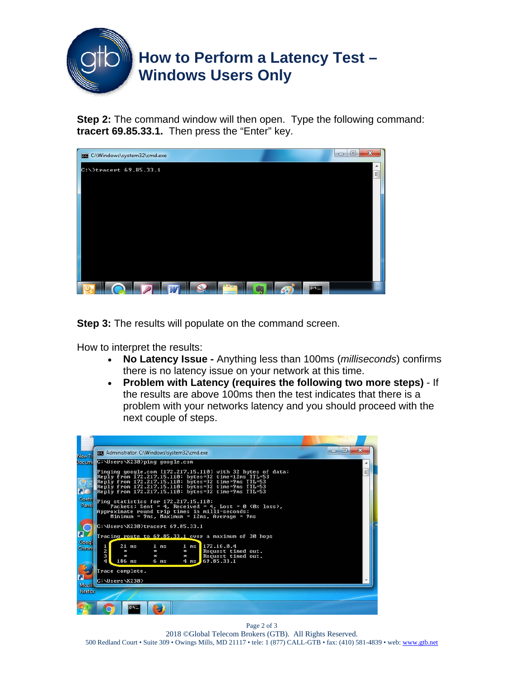

**Step 2:** The command window will then open. Type the following command: **tracert 69.85.33.1.** Then press the "Enter" key.



**Step 3:** The results will populate on the command screen.

How to interpret the results:

- **No Latency Issue -** Anything less than 100ms (*milliseconds*) confirms there is no latency issue on your network at this time.
- **Problem with Latency (requires the following two more steps)** If the results are above 100ms then the test indicates that there is a problem with your networks latency and you should proceed with the next couple of steps.



Page 2 of 3 2018 ©Global Telecom Brokers (GTB). All Rights Reserved. 500 Redland Court • Suite 309 • Owings Mills, MD 21117 • tele: 1 (877) CALL-GTB • fax: (410) 581-4839 • web: www.gtb.net